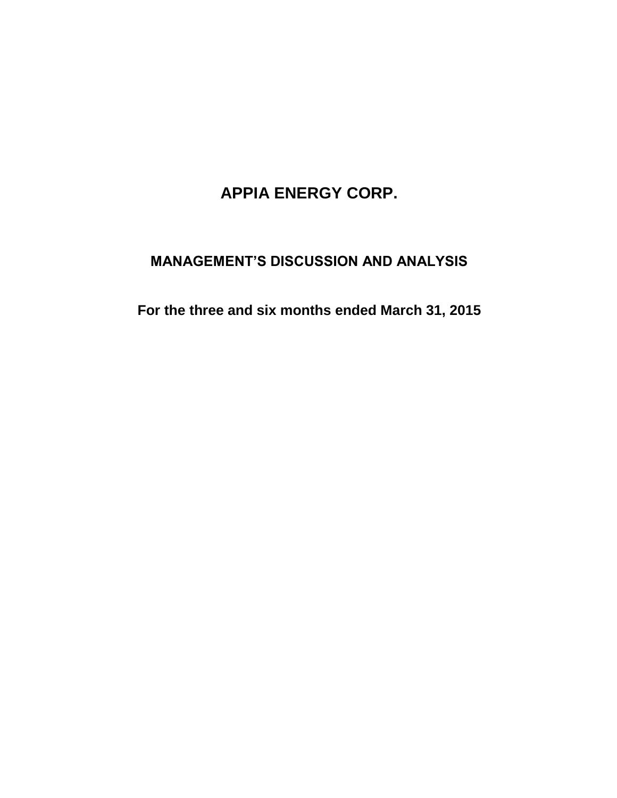# **APPIA ENERGY CORP.**

## **MANAGEMENT'S DISCUSSION AND ANALYSIS**

**For the three and six months ended March 31, 2015**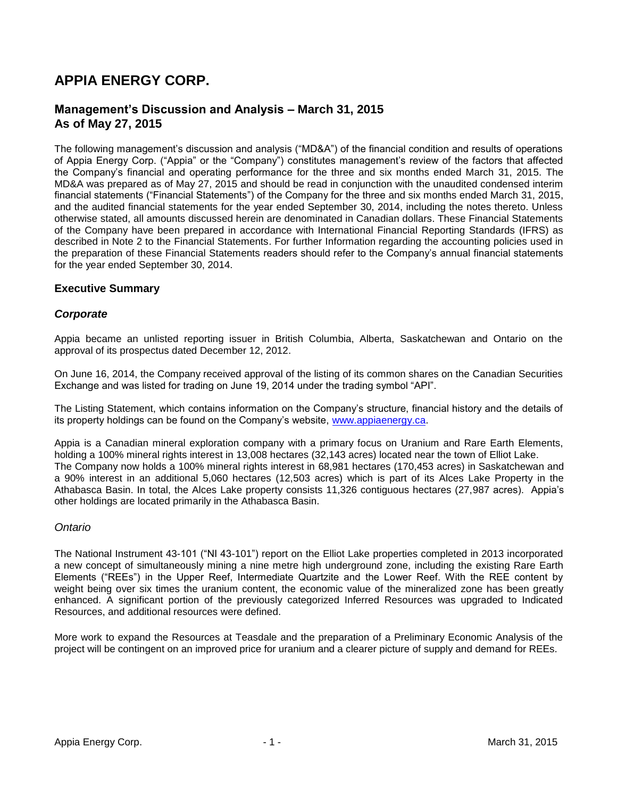## **APPIA ENERGY CORP.**

## **Management's Discussion and Analysis – March 31, 2015 As of May 27, 2015**

The following management"s discussion and analysis ("MD&A") of the financial condition and results of operations of Appia Energy Corp. ("Appia" or the "Company") constitutes management"s review of the factors that affected the Company"s financial and operating performance for the three and six months ended March 31, 2015. The MD&A was prepared as of May 27, 2015 and should be read in conjunction with the unaudited condensed interim financial statements ("Financial Statements") of the Company for the three and six months ended March 31, 2015, and the audited financial statements for the year ended September 30, 2014, including the notes thereto. Unless otherwise stated, all amounts discussed herein are denominated in Canadian dollars. These Financial Statements of the Company have been prepared in accordance with International Financial Reporting Standards (IFRS) as described in Note 2 to the Financial Statements. For further Information regarding the accounting policies used in the preparation of these Financial Statements readers should refer to the Company"s annual financial statements for the year ended September 30, 2014.

## **Executive Summary**

## *Corporate*

Appia became an unlisted reporting issuer in British Columbia, Alberta, Saskatchewan and Ontario on the approval of its prospectus dated December 12, 2012.

On June 16, 2014, the Company received approval of the listing of its common shares on the Canadian Securities Exchange and was listed for trading on June 19, 2014 under the trading symbol "API".

The Listing Statement, which contains information on the Company"s structure, financial history and the details of its property holdings can be found on the Company"s website, [www.appiaenergy.ca.](http://www.appiaenergy.com/)

Appia is a Canadian mineral exploration company with a primary focus on Uranium and Rare Earth Elements, holding a 100% mineral rights interest in 13,008 hectares (32,143 acres) located near the town of Elliot Lake. The Company now holds a 100% mineral rights interest in 68,981 hectares (170,453 acres) in Saskatchewan and a 90% interest in an additional 5,060 hectares (12,503 acres) which is part of its Alces Lake Property in the Athabasca Basin. In total, the Alces Lake property consists 11,326 contiguous hectares (27,987 acres). Appia"s other holdings are located primarily in the Athabasca Basin.

## *Ontario*

The National Instrument 43-101 ("NI 43-101") report on the Elliot Lake properties completed in 2013 incorporated a new concept of simultaneously mining a nine metre high underground zone, including the existing Rare Earth Elements ("REEs") in the Upper Reef, Intermediate Quartzite and the Lower Reef. With the REE content by weight being over six times the uranium content, the economic value of the mineralized zone has been greatly enhanced. A significant portion of the previously categorized Inferred Resources was upgraded to Indicated Resources, and additional resources were defined.

More work to expand the Resources at Teasdale and the preparation of a Preliminary Economic Analysis of the project will be contingent on an improved price for uranium and a clearer picture of supply and demand for REEs.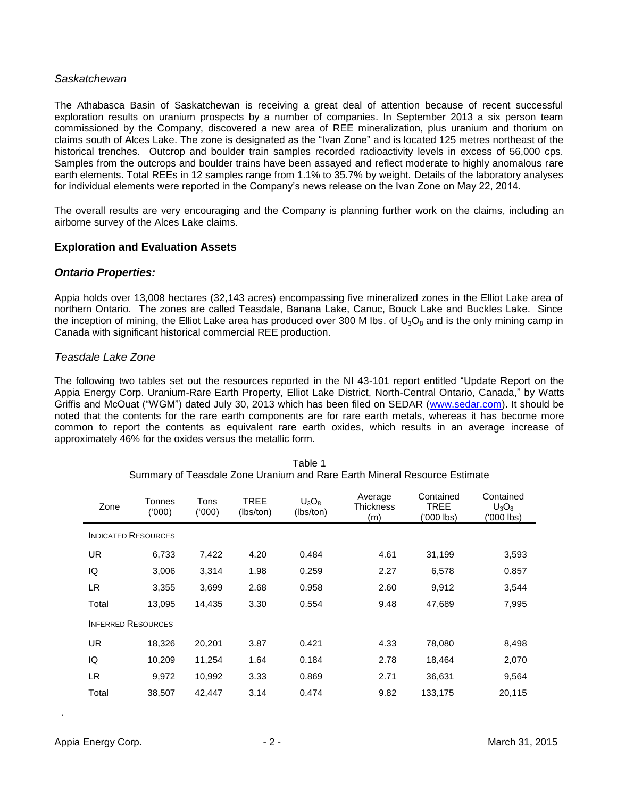## *Saskatchewan*

The Athabasca Basin of Saskatchewan is receiving a great deal of attention because of recent successful exploration results on uranium prospects by a number of companies. In September 2013 a six person team commissioned by the Company, discovered a new area of REE mineralization, plus uranium and thorium on claims south of Alces Lake. The zone is designated as the "Ivan Zone" and is located 125 metres northeast of the historical trenches. Outcrop and boulder train samples recorded radioactivity levels in excess of 56,000 cps. Samples from the outcrops and boulder trains have been assayed and reflect moderate to highly anomalous rare earth elements. Total REEs in 12 samples range from 1.1% to 35.7% by weight. Details of the laboratory analyses for individual elements were reported in the Company"s news release on the Ivan Zone on May 22, 2014.

The overall results are very encouraging and the Company is planning further work on the claims, including an airborne survey of the Alces Lake claims.

## **Exploration and Evaluation Assets**

## *Ontario Properties:*

Appia holds over 13,008 hectares (32,143 acres) encompassing five mineralized zones in the Elliot Lake area of northern Ontario. The zones are called Teasdale, Banana Lake, Canuc, Bouck Lake and Buckles Lake. Since the inception of mining, the Elliot Lake area has produced over 300 M lbs. of  $U_3O_8$  and is the only mining camp in Canada with significant historical commercial REE production.

#### *Teasdale Lake Zone*

The following two tables set out the resources reported in the NI 43-101 report entitled "Update Report on the Appia Energy Corp. Uranium-Rare Earth Property, Elliot Lake District, North-Central Ontario, Canada," by Watts Griffis and McOuat ("WGM") dated July 30, 2013 which has been filed on SEDAR [\(www.sedar.com\)](http://www.sedar.com/). It should be noted that the contents for the rare earth components are for rare earth metals, whereas it has become more common to report the contents as equivalent rare earth oxides, which results in an average increase of approximately 46% for the oxides versus the metallic form.

| Summary of Teasgale Zone Oranium and Rare Earth Mineral Resource Estimate |                  |                |                          |                       |                                    |                                 |                                    |
|---------------------------------------------------------------------------|------------------|----------------|--------------------------|-----------------------|------------------------------------|---------------------------------|------------------------------------|
| Zone                                                                      | Tonnes<br>('000) | Tons<br>('000) | <b>TREE</b><br>(lbs/ton) | $U_3O_8$<br>(lbs/ton) | Average<br><b>Thickness</b><br>(m) | Contained<br>TREE<br>('000 lbs) | Contained<br>$U_3O_8$<br>'000 lbs) |
| <b>INDICATED RESOURCES</b>                                                |                  |                |                          |                       |                                    |                                 |                                    |
| UR                                                                        | 6,733            | 7,422          | 4.20                     | 0.484                 | 4.61                               | 31,199                          | 3,593                              |
| IQ                                                                        | 3,006            | 3,314          | 1.98                     | 0.259                 | 2.27                               | 6,578                           | 0.857                              |
| LR                                                                        | 3,355            | 3,699          | 2.68                     | 0.958                 | 2.60                               | 9,912                           | 3,544                              |
| Total                                                                     | 13,095           | 14,435         | 3.30                     | 0.554                 | 9.48                               | 47,689                          | 7,995                              |
| <b>INFERRED RESOURCES</b>                                                 |                  |                |                          |                       |                                    |                                 |                                    |
| UR                                                                        | 18,326           | 20,201         | 3.87                     | 0.421                 | 4.33                               | 78,080                          | 8,498                              |
| IQ                                                                        | 10,209           | 11,254         | 1.64                     | 0.184                 | 2.78                               | 18,464                          | 2,070                              |
| LR.                                                                       | 9,972            | 10,992         | 3.33                     | 0.869                 | 2.71                               | 36,631                          | 9,564                              |
| Total                                                                     | 38,507           | 42,447         | 3.14                     | 0.474                 | 9.82                               | 133,175                         | 20,115                             |

Table 1<br>Summary of Tecadele Zene Uranium and Ba Summary of Teasdale Zone Uranium and Rare Earth Mineral Resource Estimate

*.*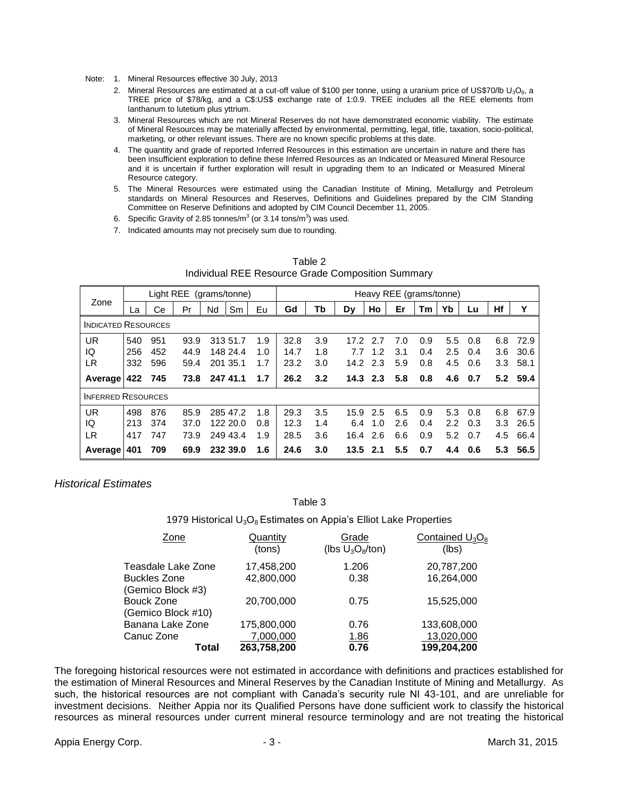- Note: 1. Mineral Resources effective 30 July, 2013
	- 2. Mineral Resources are estimated at a cut-off value of \$100 per tonne, using a uranium price of US\$70/lb  $U_3O_8$ , a TREE price of \$78/kg, and a C\$:US\$ exchange rate of 1:0.9. TREE includes all the REE elements from lanthanum to lutetium plus yttrium.
	- 3. Mineral Resources which are not Mineral Reserves do not have demonstrated economic viability. The estimate of Mineral Resources may be materially affected by environmental, permitting, legal, title, taxation, socio-political, marketing, or other relevant issues. There are no known specific problems at this date.
	- 4. The quantity and grade of reported Inferred Resources in this estimation are uncertain in nature and there has been insufficient exploration to define these Inferred Resources as an Indicated or Measured Mineral Resource and it is uncertain if further exploration will result in upgrading them to an Indicated or Measured Mineral Resource category.
	- 5. The Mineral Resources were estimated using the Canadian Institute of Mining, Metallurgy and Petroleum standards on Mineral Resources and Reserves, Definitions and Guidelines prepared by the CIM Standing Committee on Reserve Definitions and adopted by CIM Council December 11, 2005.
	- 6. Specific Gravity of 2.85 tonnes/m<sup>3</sup> (or 3.14 tons/m<sup>3</sup>) was used.
	- 7. Indicated amounts may not precisely sum due to rounding.

|                            | Light REE<br>(grams/tonne) |     |      | Heavy REE (grams/tonne) |          |     |      |     |      |            |     |     |     |     |     |      |
|----------------------------|----------------------------|-----|------|-------------------------|----------|-----|------|-----|------|------------|-----|-----|-----|-----|-----|------|
| Zone                       | La                         | Сe  | Pr   | Nd                      | Sm       | Eu  | Gd   | Tb  | Dy   | Ho         | Er  | Tm  | Yb  | Lu  | Hf  | Υ    |
| <b>INDICATED RESOURCES</b> |                            |     |      |                         |          |     |      |     |      |            |     |     |     |     |     |      |
| <b>UR</b>                  | 540                        | 951 | 93.9 |                         | 313 51.7 | 1.9 | 32.8 | 3.9 | 17.2 | 2.7        | 7.0 | 0.9 | 5.5 | 0.8 | 6.8 | 72.9 |
| IQ                         | 256                        | 452 | 44.9 |                         | 148 24.4 | 1.0 | 14.7 | 1.8 | 7.7  | 1.2        | 3.1 | 0.4 | 2.5 | 0.4 | 3.6 | 30.6 |
| LR                         | 332                        | 596 | 59.4 |                         | 201 35.1 | 1.7 | 23.2 | 3.0 | 14.2 | 2.3        | 5.9 | 0.8 | 4.5 | 0.6 | 3.3 | 58.1 |
| Average                    | 422                        | 745 | 73.8 |                         | 247 41.1 | 1.7 | 26.2 | 3.2 |      | $14.3$ 2.3 | 5.8 | 0.8 | 4.6 | 0.7 | 5.2 | 59.4 |
| <b>INFERRED RESOURCES</b>  |                            |     |      |                         |          |     |      |     |      |            |     |     |     |     |     |      |
| <b>UR</b>                  | 498                        | 876 | 85.9 |                         | 285 47.2 | 1.8 | 29.3 | 3.5 | 15.9 | 2.5        | 6.5 | 0.9 | 5.3 | 0.8 | 6.8 | 67.9 |
| IQ                         | 213                        | 374 | 37.0 |                         | 122 20.0 | 0.8 | 12.3 | 1.4 | 6.4  | 1.0        | 2.6 | 0.4 | 2.2 | 0.3 | 3.3 | 26.5 |
| LR                         | 417                        | 747 | 73.9 |                         | 249 43.4 | 1.9 | 28.5 | 3.6 | 16.4 | 2.6        | 6.6 | 0.9 | 5.2 | 0.7 | 4.5 | 66.4 |
| Average                    | 401                        | 709 | 69.9 |                         | 232 39.0 | 1.6 | 24.6 | 3.0 | 13.5 | 2.1        | 5.5 | 0.7 | 4.4 | 0.6 | 5.3 | 56.5 |

| Table 2                                           |
|---------------------------------------------------|
| Individual REE Resource Grade Composition Summary |

## *Historical Estimates*

#### Table 3

1979 Historical  $U_3O_8$  Estimates on Appia's Elliot Lake Properties

| Quantity<br>(tons)       | Grade<br>(lbs $U_3O_8$ /ton) | Contained $U_3O_8$<br>(lbs) |  |
|--------------------------|------------------------------|-----------------------------|--|
| 17,458,200               | 1.206                        | 20,787,200                  |  |
| 42,800,000               | 0.38                         | 16,264,000                  |  |
| 20,700,000               | 0.75                         | 15,525,000                  |  |
| 175,800,000              | 0.76                         | 133,608,000                 |  |
| 7,000,000<br>263,758,200 | <u>1.86</u><br>0.76          | 13,020,000<br>199,204,200   |  |
|                          |                              |                             |  |

The foregoing historical resources were not estimated in accordance with definitions and practices established for the estimation of Mineral Resources and Mineral Reserves by the Canadian Institute of Mining and Metallurgy. As such, the historical resources are not compliant with Canada"s security rule NI 43-101, and are unreliable for investment decisions. Neither Appia nor its Qualified Persons have done sufficient work to classify the historical resources as mineral resources under current mineral resource terminology and are not treating the historical

Appia Energy Corp. - 3 - March 31, 2015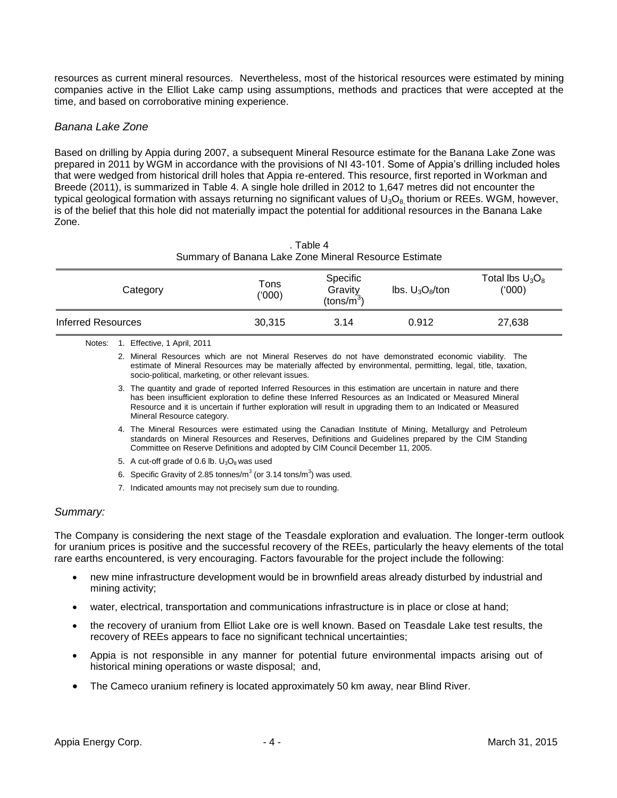resources as current mineral resources. Nevertheless, most of the historical resources were estimated by mining companies active in the Elliot Lake camp using assumptions, methods and practices that were accepted at the time, and based on corroborative mining experience.

## *Banana Lake Zone*

Based on drilling by Appia during 2007, a subsequent Mineral Resource estimate for the Banana Lake Zone was prepared in 2011 by WGM in accordance with the provisions of NI 43-101. Some of Appia"s drilling included holes that were wedged from historical drill holes that Appia re-entered. This resource, first reported in Workman and Breede (2011), is summarized in Table 4. A single hole drilled in 2012 to 1,647 metres did not encounter the typical geological formation with assays returning no significant values of  $U_3O_8$  thorium or REEs. WGM, however, is of the belief that this hole did not materially impact the potential for additional resources in the Banana Lake Zone.

| Summary of Banana Lake Zone Mineral Resource Estimate |                |                                               |                                                          |                             |  |  |  |
|-------------------------------------------------------|----------------|-----------------------------------------------|----------------------------------------------------------|-----------------------------|--|--|--|
| Category                                              | Tons<br>('000) | Specific<br>Gravity<br>(tons/m <sup>3</sup> ) | $\mathsf{Ibs}$ . $\mathsf{U}_3\mathsf{O}_8/\mathsf{ton}$ | Total lbs $U_3O_8$<br>(000) |  |  |  |
| Inferred Resources                                    | 30.315         | 3.14                                          | 0.912                                                    | 27,638                      |  |  |  |

. Table 4

Notes: 1. Effective, 1 April, 2011

2. Mineral Resources which are not Mineral Reserves do not have demonstrated economic viability. The estimate of Mineral Resources may be materially affected by environmental, permitting, legal, title, taxation, socio-political, marketing, or other relevant issues.

- 3. The quantity and grade of reported Inferred Resources in this estimation are uncertain in nature and there has been insufficient exploration to define these Inferred Resources as an Indicated or Measured Mineral Resource and it is uncertain if further exploration will result in upgrading them to an Indicated or Measured Mineral Resource category.
- 4. The Mineral Resources were estimated using the Canadian Institute of Mining, Metallurgy and Petroleum standards on Mineral Resources and Reserves, Definitions and Guidelines prepared by the CIM Standing Committee on Reserve Definitions and adopted by CIM Council December 11, 2005.
- 5. A cut-off grade of 0.6 lb.  $U_3O_8$  was used
- 6. Specific Gravity of 2.85 tonnes/ $m^3$  (or 3.14 tons/ $m^3$ ) was used.
- 7. Indicated amounts may not precisely sum due to rounding.

## *Summary:*

The Company is considering the next stage of the Teasdale exploration and evaluation. The longer-term outlook for uranium prices is positive and the successful recovery of the REEs, particularly the heavy elements of the total rare earths encountered, is very encouraging. Factors favourable for the project include the following:

- new mine infrastructure development would be in brownfield areas already disturbed by industrial and mining activity;
- water, electrical, transportation and communications infrastructure is in place or close at hand;
- the recovery of uranium from Elliot Lake ore is well known. Based on Teasdale Lake test results, the recovery of REEs appears to face no significant technical uncertainties;
- Appia is not responsible in any manner for potential future environmental impacts arising out of historical mining operations or waste disposal; and,
- The Cameco uranium refinery is located approximately 50 km away, near Blind River.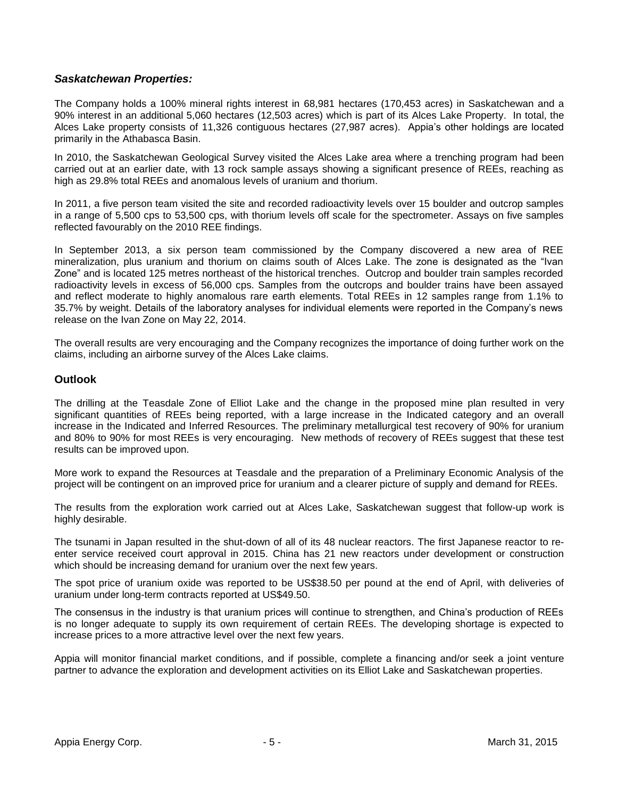## *Saskatchewan Properties:*

The Company holds a 100% mineral rights interest in 68,981 hectares (170,453 acres) in Saskatchewan and a 90% interest in an additional 5,060 hectares (12,503 acres) which is part of its Alces Lake Property. In total, the Alces Lake property consists of 11,326 contiguous hectares (27,987 acres). Appia"s other holdings are located primarily in the Athabasca Basin.

In 2010, the Saskatchewan Geological Survey visited the Alces Lake area where a trenching program had been carried out at an earlier date, with 13 rock sample assays showing a significant presence of REEs, reaching as high as 29.8% total REEs and anomalous levels of uranium and thorium.

In 2011, a five person team visited the site and recorded radioactivity levels over 15 boulder and outcrop samples in a range of 5,500 cps to 53,500 cps, with thorium levels off scale for the spectrometer. Assays on five samples reflected favourably on the 2010 REE findings.

In September 2013, a six person team commissioned by the Company discovered a new area of REE mineralization, plus uranium and thorium on claims south of Alces Lake. The zone is designated as the "Ivan Zone" and is located 125 metres northeast of the historical trenches. Outcrop and boulder train samples recorded radioactivity levels in excess of 56,000 cps. Samples from the outcrops and boulder trains have been assayed and reflect moderate to highly anomalous rare earth elements. Total REEs in 12 samples range from 1.1% to 35.7% by weight. Details of the laboratory analyses for individual elements were reported in the Company"s news release on the Ivan Zone on May 22, 2014.

The overall results are very encouraging and the Company recognizes the importance of doing further work on the claims, including an airborne survey of the Alces Lake claims.

#### **Outlook**

The drilling at the Teasdale Zone of Elliot Lake and the change in the proposed mine plan resulted in very significant quantities of REEs being reported, with a large increase in the Indicated category and an overall increase in the Indicated and Inferred Resources. The preliminary metallurgical test recovery of 90% for uranium and 80% to 90% for most REEs is very encouraging. New methods of recovery of REEs suggest that these test results can be improved upon.

More work to expand the Resources at Teasdale and the preparation of a Preliminary Economic Analysis of the project will be contingent on an improved price for uranium and a clearer picture of supply and demand for REEs.

The results from the exploration work carried out at Alces Lake, Saskatchewan suggest that follow-up work is highly desirable.

The tsunami in Japan resulted in the shut-down of all of its 48 nuclear reactors. The first Japanese reactor to reenter service received court approval in 2015. China has 21 new reactors under development or construction which should be increasing demand for uranium over the next few years.

The spot price of uranium oxide was reported to be US\$38.50 per pound at the end of April, with deliveries of uranium under long-term contracts reported at US\$49.50.

The consensus in the industry is that uranium prices will continue to strengthen, and China"s production of REEs is no longer adequate to supply its own requirement of certain REEs. The developing shortage is expected to increase prices to a more attractive level over the next few years.

Appia will monitor financial market conditions, and if possible, complete a financing and/or seek a joint venture partner to advance the exploration and development activities on its Elliot Lake and Saskatchewan properties.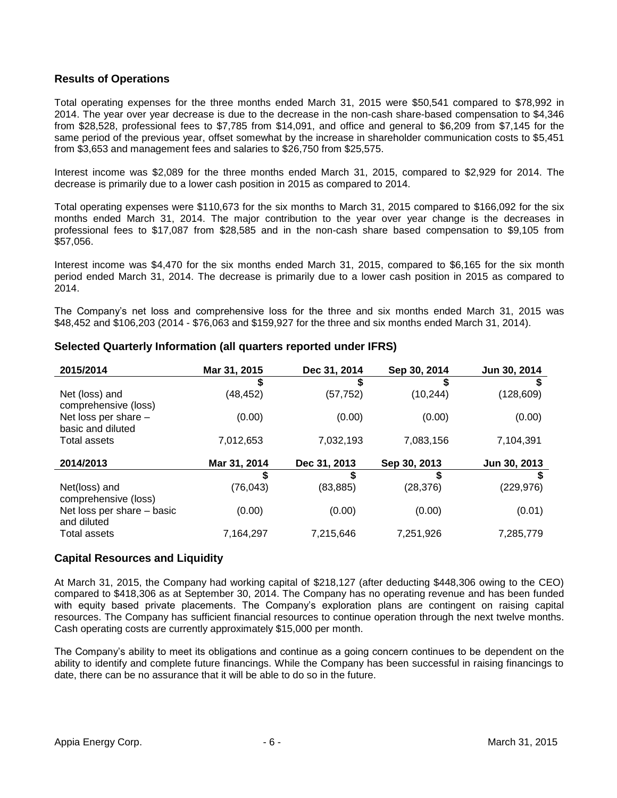## **Results of Operations**

Total operating expenses for the three months ended March 31, 2015 were \$50,541 compared to \$78,992 in 2014. The year over year decrease is due to the decrease in the non-cash share-based compensation to \$4,346 from \$28,528, professional fees to \$7,785 from \$14,091, and office and general to \$6,209 from \$7,145 for the same period of the previous year, offset somewhat by the increase in shareholder communication costs to \$5,451 from \$3,653 and management fees and salaries to \$26,750 from \$25,575.

Interest income was \$2,089 for the three months ended March 31, 2015, compared to \$2,929 for 2014. The decrease is primarily due to a lower cash position in 2015 as compared to 2014.

Total operating expenses were \$110,673 for the six months to March 31, 2015 compared to \$166,092 for the six months ended March 31, 2014. The major contribution to the year over year change is the decreases in professional fees to \$17,087 from \$28,585 and in the non-cash share based compensation to \$9,105 from \$57,056.

Interest income was \$4,470 for the six months ended March 31, 2015, compared to \$6,165 for the six month period ended March 31, 2014. The decrease is primarily due to a lower cash position in 2015 as compared to 2014.

The Company's net loss and comprehensive loss for the three and six months ended March 31, 2015 was \$48,452 and \$106,203 (2014 - \$76,063 and \$159,927 for the three and six months ended March 31, 2014).

| 2015/2014                                 | Mar 31, 2015 | Dec 31, 2014 | Sep 30, 2014 | Jun 30, 2014 |
|-------------------------------------------|--------------|--------------|--------------|--------------|
|                                           |              | S            |              |              |
| Net (loss) and<br>comprehensive (loss)    | (48, 452)    | (57, 752)    | (10, 244)    | (128, 609)   |
| Net loss per share -                      | (0.00)       | (0.00)       | (0.00)       | (0.00)       |
| basic and diluted                         |              |              |              |              |
| Total assets                              | 7,012,653    | 7,032,193    | 7,083,156    | 7,104,391    |
| 2014/2013                                 | Mar 31, 2014 | Dec 31, 2013 | Sep 30, 2013 | Jun 30, 2013 |
|                                           |              |              |              |              |
| Net(loss) and<br>comprehensive (loss)     | (76, 043)    | (83, 885)    | (28, 376)    | (229, 976)   |
| Net loss per share - basic<br>and diluted | (0.00)       | (0.00)       | (0.00)       | (0.01)       |
| <b>Total assets</b>                       | 7,164,297    | 7,215,646    | 7,251,926    | 7,285,779    |

## **Selected Quarterly Information (all quarters reported under IFRS)**

## **Capital Resources and Liquidity**

At March 31, 2015, the Company had working capital of \$218,127 (after deducting \$448,306 owing to the CEO) compared to \$418,306 as at September 30, 2014. The Company has no operating revenue and has been funded with equity based private placements. The Company's exploration plans are contingent on raising capital resources. The Company has sufficient financial resources to continue operation through the next twelve months. Cash operating costs are currently approximately \$15,000 per month.

The Company"s ability to meet its obligations and continue as a going concern continues to be dependent on the ability to identify and complete future financings. While the Company has been successful in raising financings to date, there can be no assurance that it will be able to do so in the future.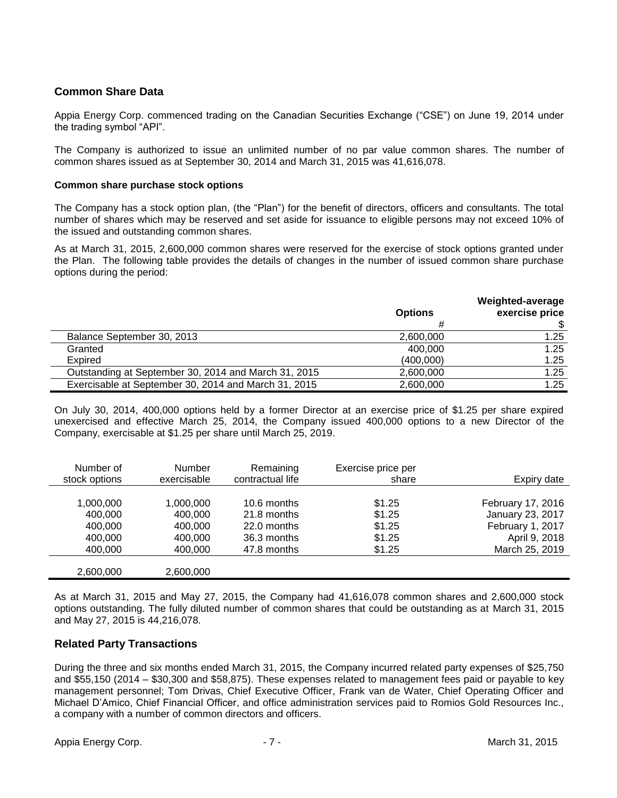## **Common Share Data**

Appia Energy Corp. commenced trading on the Canadian Securities Exchange ("CSE") on June 19, 2014 under the trading symbol "API".

The Company is authorized to issue an unlimited number of no par value common shares. The number of common shares issued as at September 30, 2014 and March 31, 2015 was 41,616,078.

#### **Common share purchase stock options**

The Company has a stock option plan, (the "Plan") for the benefit of directors, officers and consultants. The total number of shares which may be reserved and set aside for issuance to eligible persons may not exceed 10% of the issued and outstanding common shares.

As at March 31, 2015, 2,600,000 common shares were reserved for the exercise of stock options granted under the Plan. The following table provides the details of changes in the number of issued common share purchase options during the period:

|                                                      | <b>Options</b> | Weighted-average<br>exercise price |
|------------------------------------------------------|----------------|------------------------------------|
|                                                      |                |                                    |
| Balance September 30, 2013                           | 2,600,000      | 1.25                               |
| Granted                                              | 400.000        | 1.25                               |
| Expired                                              | (400,000)      | 1.25                               |
| Outstanding at September 30, 2014 and March 31, 2015 | 2,600,000      | 1.25                               |
| Exercisable at September 30, 2014 and March 31, 2015 | 2,600,000      | 1.25                               |

On July 30, 2014, 400,000 options held by a former Director at an exercise price of \$1.25 per share expired unexercised and effective March 25, 2014, the Company issued 400,000 options to a new Director of the Company, exercisable at \$1.25 per share until March 25, 2019.

| Number of<br>stock options | <b>Number</b><br>exercisable | Remaining<br>contractual life | Exercise price per<br>share | Expiry date       |
|----------------------------|------------------------------|-------------------------------|-----------------------------|-------------------|
|                            |                              |                               |                             |                   |
| 1,000,000                  | 1.000.000                    | 10.6 months                   | \$1.25                      | February 17, 2016 |
| 400,000                    | 400.000                      | 21.8 months                   | \$1.25                      | January 23, 2017  |
| 400,000                    | 400.000                      | 22.0 months                   | \$1.25                      | February 1, 2017  |
| 400,000                    | 400.000                      | 36.3 months                   | \$1.25                      | April 9, 2018     |
| 400,000                    | 400,000                      | 47.8 months                   | \$1.25                      | March 25, 2019    |
| 2,600,000                  | 2,600,000                    |                               |                             |                   |

As at March 31, 2015 and May 27, 2015, the Company had 41,616,078 common shares and 2,600,000 stock options outstanding. The fully diluted number of common shares that could be outstanding as at March 31, 2015 and May 27, 2015 is 44,216,078.

## **Related Party Transactions**

During the three and six months ended March 31, 2015, the Company incurred related party expenses of \$25,750 and \$55,150 (2014 – \$30,300 and \$58,875). These expenses related to management fees paid or payable to key management personnel; Tom Drivas, Chief Executive Officer, Frank van de Water, Chief Operating Officer and Michael D"Amico, Chief Financial Officer, and office administration services paid to Romios Gold Resources Inc., a company with a number of common directors and officers.

Appia Energy Corp. - 7 - March 31, 2015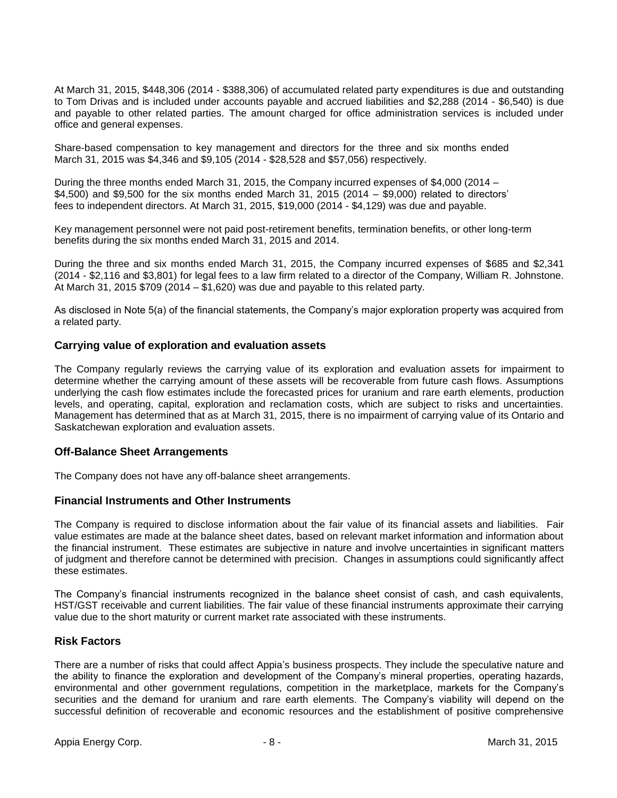At March 31, 2015, \$448,306 (2014 - \$388,306) of accumulated related party expenditures is due and outstanding to Tom Drivas and is included under accounts payable and accrued liabilities and \$2,288 (2014 - \$6,540) is due and payable to other related parties. The amount charged for office administration services is included under office and general expenses.

Share-based compensation to key management and directors for the three and six months ended March 31, 2015 was \$4,346 and \$9,105 (2014 - \$28,528 and \$57,056) respectively.

During the three months ended March 31, 2015, the Company incurred expenses of \$4,000 (2014 – \$4,500) and \$9,500 for the six months ended March 31, 2015 (2014 – \$9,000) related to directors' fees to independent directors. At March 31, 2015, \$19,000 (2014 - \$4,129) was due and payable.

Key management personnel were not paid post-retirement benefits, termination benefits, or other long-term benefits during the six months ended March 31, 2015 and 2014.

During the three and six months ended March 31, 2015, the Company incurred expenses of \$685 and \$2,341 (2014 - \$2,116 and \$3,801) for legal fees to a law firm related to a director of the Company, William R. Johnstone. At March 31, 2015  $$709 (2014 - $1,620)$  was due and payable to this related party.

As disclosed in Note 5(a) of the financial statements, the Company's major exploration property was acquired from a related party.

#### **Carrying value of exploration and evaluation assets**

The Company regularly reviews the carrying value of its exploration and evaluation assets for impairment to determine whether the carrying amount of these assets will be recoverable from future cash flows. Assumptions underlying the cash flow estimates include the forecasted prices for uranium and rare earth elements, production levels, and operating, capital, exploration and reclamation costs, which are subject to risks and uncertainties. Management has determined that as at March 31, 2015, there is no impairment of carrying value of its Ontario and Saskatchewan exploration and evaluation assets.

#### **Off-Balance Sheet Arrangements**

The Company does not have any off-balance sheet arrangements.

#### **Financial Instruments and Other Instruments**

The Company is required to disclose information about the fair value of its financial assets and liabilities. Fair value estimates are made at the balance sheet dates, based on relevant market information and information about the financial instrument. These estimates are subjective in nature and involve uncertainties in significant matters of judgment and therefore cannot be determined with precision. Changes in assumptions could significantly affect these estimates.

The Company"s financial instruments recognized in the balance sheet consist of cash, and cash equivalents, HST/GST receivable and current liabilities. The fair value of these financial instruments approximate their carrying value due to the short maturity or current market rate associated with these instruments.

#### **Risk Factors**

There are a number of risks that could affect Appia"s business prospects. They include the speculative nature and the ability to finance the exploration and development of the Company"s mineral properties, operating hazards, environmental and other government regulations, competition in the marketplace, markets for the Company"s securities and the demand for uranium and rare earth elements. The Company's viability will depend on the successful definition of recoverable and economic resources and the establishment of positive comprehensive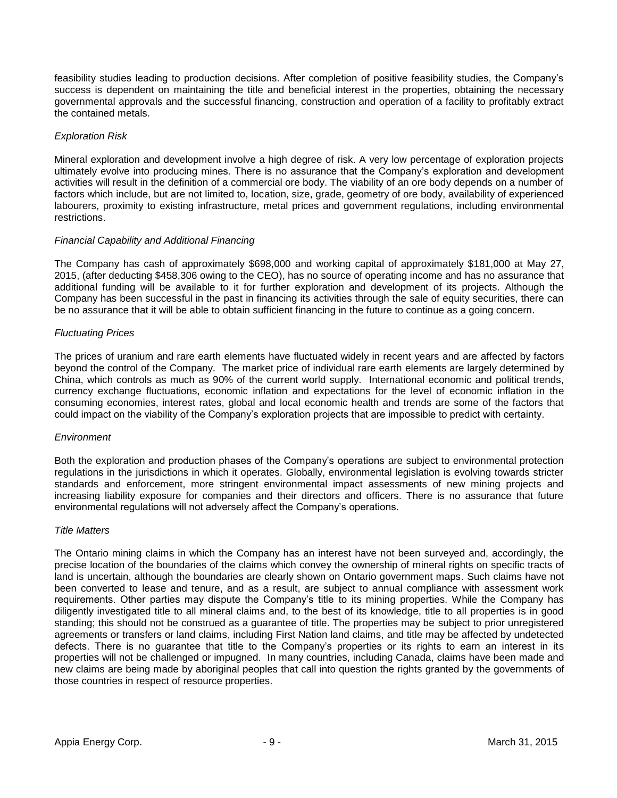feasibility studies leading to production decisions. After completion of positive feasibility studies, the Company"s success is dependent on maintaining the title and beneficial interest in the properties, obtaining the necessary governmental approvals and the successful financing, construction and operation of a facility to profitably extract the contained metals.

#### *Exploration Risk*

Mineral exploration and development involve a high degree of risk. A very low percentage of exploration projects ultimately evolve into producing mines. There is no assurance that the Company"s exploration and development activities will result in the definition of a commercial ore body. The viability of an ore body depends on a number of factors which include, but are not limited to, location, size, grade, geometry of ore body, availability of experienced labourers, proximity to existing infrastructure, metal prices and government regulations, including environmental restrictions.

#### *Financial Capability and Additional Financing*

The Company has cash of approximately \$698,000 and working capital of approximately \$181,000 at May 27, 2015, (after deducting \$458,306 owing to the CEO), has no source of operating income and has no assurance that additional funding will be available to it for further exploration and development of its projects. Although the Company has been successful in the past in financing its activities through the sale of equity securities, there can be no assurance that it will be able to obtain sufficient financing in the future to continue as a going concern.

#### *Fluctuating Prices*

The prices of uranium and rare earth elements have fluctuated widely in recent years and are affected by factors beyond the control of the Company. The market price of individual rare earth elements are largely determined by China, which controls as much as 90% of the current world supply. International economic and political trends, currency exchange fluctuations, economic inflation and expectations for the level of economic inflation in the consuming economies, interest rates, global and local economic health and trends are some of the factors that could impact on the viability of the Company"s exploration projects that are impossible to predict with certainty.

#### *Environment*

Both the exploration and production phases of the Company"s operations are subject to environmental protection regulations in the jurisdictions in which it operates. Globally, environmental legislation is evolving towards stricter standards and enforcement, more stringent environmental impact assessments of new mining projects and increasing liability exposure for companies and their directors and officers. There is no assurance that future environmental regulations will not adversely affect the Company"s operations.

#### *Title Matters*

The Ontario mining claims in which the Company has an interest have not been surveyed and, accordingly, the precise location of the boundaries of the claims which convey the ownership of mineral rights on specific tracts of land is uncertain, although the boundaries are clearly shown on Ontario government maps. Such claims have not been converted to lease and tenure, and as a result, are subject to annual compliance with assessment work requirements. Other parties may dispute the Company"s title to its mining properties. While the Company has diligently investigated title to all mineral claims and, to the best of its knowledge, title to all properties is in good standing; this should not be construed as a guarantee of title. The properties may be subject to prior unregistered agreements or transfers or land claims, including First Nation land claims, and title may be affected by undetected defects. There is no guarantee that title to the Company"s properties or its rights to earn an interest in its properties will not be challenged or impugned. In many countries, including Canada, claims have been made and new claims are being made by aboriginal peoples that call into question the rights granted by the governments of those countries in respect of resource properties.